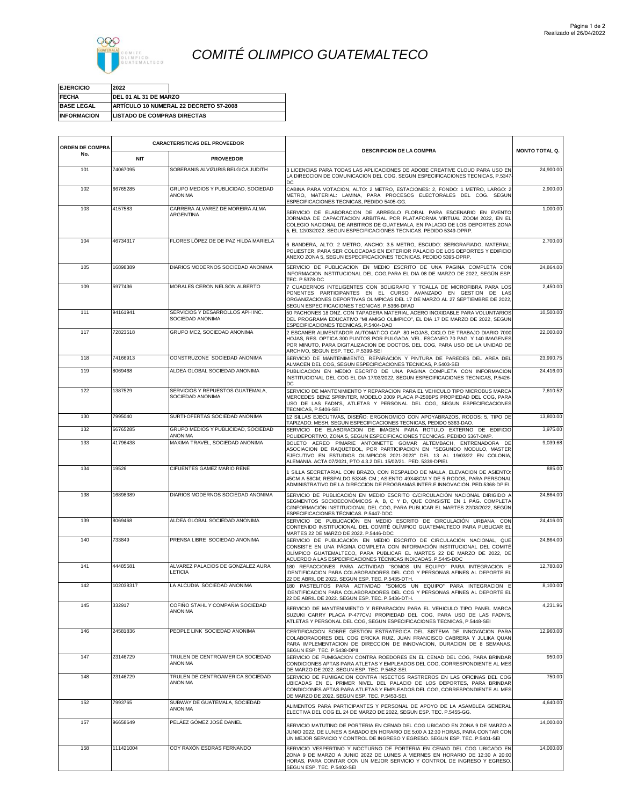

## *COMITÉ OLIMPICO GUATEMALTECO*

| <b>EJERCICIO</b>   | 2022                                   |  |
|--------------------|----------------------------------------|--|
| <b>FECHA</b>       | <b>IDEL 01 AL 31 DE MARZO</b>          |  |
| <b>BASE LEGAL</b>  | ARTICULO 10 NUMERAL 22 DECRETO 57-2008 |  |
| <b>INFORMACION</b> | <b>LISTADO DE COMPRAS DIRECTAS</b>     |  |

| ORDEN DE COMPRA | <b>CARACTERISTICAS DEL PROVEEDOR</b> |                                                       |                                                                                                                                                                                                                                                                                                      |                       |
|-----------------|--------------------------------------|-------------------------------------------------------|------------------------------------------------------------------------------------------------------------------------------------------------------------------------------------------------------------------------------------------------------------------------------------------------------|-----------------------|
| No.             | <b>NIT</b>                           | <b>PROVEEDOR</b>                                      | <b>DESCRIPCION DE LA COMPRA</b>                                                                                                                                                                                                                                                                      | <b>MONTO TOTAL Q.</b> |
| 101             | 74067095                             | SOBERANIS ALVIZURIS BELGICA JUDITH                    | 3 LICENCIAS PARA TODAS LAS APLICACIONES DE ADOBE CREATIVE CLOUD PARA USO EN<br>LA DIRECCION DE COMUNICACION DEL COG, SEGUN ESPECIFICACIONES TECNICAS, P.5347<br>DC                                                                                                                                   | 24,900.00             |
| 102             | 66765285                             | GRUPO MEDIOS Y PUBLICIDAD, SOCIEDAD<br><b>ANONIMA</b> | CABINA PARA VOTACION, ALTO: 2 METRO, ESTACIONES: 2, FONDO: 1 METRO, LARGO: 2<br>METRO, MATERIAL: LAMINA, PARA PROCESOS ELECTORALES DEL COG, SEGUN<br>ESPECIFICACIONES TECNICAS, PEDIDO 5405-GG.                                                                                                      | 2,900.00              |
| 103             | 4157583                              | CARRERA ALVAREZ DE MOREIRA ALMA<br>ARGENTINA          | SERVICIO DE ELABORACION DE ARREGLO FLORAL PARA ESCENARIO EN EVENTO<br>JORNADA DE CAPACITACION ARBITRAL POR PLATAFORMA VIRTUAL ZOOM 2022, EN EL<br>COLEGIO NACIONAL DE ARBITROS DE GUATEMALA, EN PALACIO DE LOS DEPORTES ZONA<br>5, EL 12/03/2022. SEGUN ESPECIFICACIONES TECNICAS. PEDIDO 5349-DPRP. | 1,000.00              |
| 104             | 46734317                             | FLORES LÓPEZ DE DE PAZ HILDA MARIELA                  | 6 BANDERA, ALTO: 2 METRO, ANCHO: 3.5 METRO, ESCUDO: SERIGRAFIADO, MATERIAL<br>POLIESTER, PARA SER COLOCADAS EN EXTERIOR PALACIO DE LOS DEPORTES Y EDIFICIO<br>ANEXO ZONA 5, SEGUN ESPECIFICACIONES TECNICAS, PEDIDO 5395-DPRP.                                                                       | 2,700.00              |
| 105             | 16898389                             | DIARIOS MODERNOS SOCIEDAD ANONIMA                     | SERVICIO DE PUBLICACION EN MEDIO ESCRITO DE UNA PAGINA COMPLETA CON<br>INFORMACION INSTITUCIONAL DEL COG, PARA EL DIA 08 DE MARZO DE 2022, SEGÚN ESP<br>TEC. P.5378-DC                                                                                                                               | 24,864.00             |
| 109             | 5977436                              | MORALES CERON NELSON ALBERTO                          | 7 CUADERNOS INTELIGENTES CON BOLIGRAFO Y TOALLA DE MICROFIBRA PARA LOS<br>PONENTES PARTICIPANTES EN EL CURSO AVANZADO EN GESTION DE LAS<br>ORGANIZACIONES DEPORTIVAS OLIMPICAS DEL 17 DE MARZO AL 27 SEPTIEMBRE DE 2022.<br>SEGUN ESPECIFICACIONES TECNICAS, P.5366-DFAD                             | 2,450.00              |
| 111             | 94161941                             | SERVICIOS Y DESARROLLOS APH INC.<br>SOCIEDAD ANONIMA  | 50 PACHONES 18 ONZ. CON TAPADERA MATERIAL ACERO INOXIDABLE PARA VOLUNTARIOS<br>DEL PROGRAMA EDUCATIVO "MI AMIGO OLIMPICO", EL DIA 17 DE MARZO DE 2022, SEGUN<br>ESPECIFICACIONES TECNICAS, P.5404-DAO                                                                                                | 10,500.00             |
| 117             | 72823518                             | GRUPO MC2, SOCIEDAD ANONIMA                           | 2 ESCANER ALIMENTADOR AUTOMATICO CAP. 80 HOJAS, CICLO DE TRABAJO DIARIO 7000<br>HOJAS, RES. OPTICA 300 PUNTOS POR PULGADA, VEL. ESCANEO 70 PAG. Y 140 IMAGENES<br>POR MINUTO. PARA DIGITALIZACION DE DOCTOS. DEL COG. PARA USO DE LA UNIDAD DE<br>ARCHIVO, SEGUN ESP. TEC. P.5399-SEI                | 22,000.00             |
| 118             | 74166913                             | CONSTRUZONE SOCIEDAD ANONIMA                          | SERVICIO DE MANTENIMIENTO. REPARACION Y PINTURA DE PAREDES DEL AREA DEL<br>ALMACEN DEL COG, SEGUN ESPECIFICACIONES TECNICAS, P.5403-SEI                                                                                                                                                              | 23,990.75             |
| 119             | 8069468                              | ALDEA GLOBAL SOCIEDAD ANONIMA                         | PUBLICACION EN MEDIO ESCRITO DE UNA PAGINA COMPLETA CON INFORMACION<br>INSTITUCIONAL DEL COG EL DIA 17/03/2022, SEGUN ESPECIFICACIONES TECNICAS, P.5426-<br>DC.                                                                                                                                      | 24,416.00             |
| 122             | 1387529                              | SERVICIOS Y REPUESTOS GUATEMALA,<br>SOCIEDAD ANONIMA  | SERVICIO DE MANTENIMIENTO Y REPARACION PARA EL VEHICULO TIPO MICROBUS MARCA<br>MERCEDES BENZ SPRINTER, MODELO 2009 PLACA P-250BPS PROPIEDAD DEL COG, PARA<br>USO DE LAS FADN'S, ATLETAS Y PERSONAL DEL COG, SEGUN ESPECIFICACIONES<br>TECNICAS, P.5406-SEI                                           | 7,610.52              |
| 130             | 7995040                              | SURTI-OFERTAS SOCIEDAD ANONIMA                        | 12 SILLAS EJECUTIVAS, DISEÑO: ERGONOMICO CON APOYABRAZOS, RODOS: 5, TIPO DE<br>TAPIZADO: MESH, SEGUN ESPECIFICACIONES TECNICAS, PEDIDO 5363-DAO.                                                                                                                                                     | 13,800.00             |
| 132             | 66765285                             | GRUPO MEDIOS Y PUBLICIDAD, SOCIEDAD<br><b>ANONIMA</b> | SERVICIO DE ELABORACION DE IMAGEN PARA ROTULO EXTERNO DE EDIFICIO<br>POLIDEPORTIVO, ZONA 5, SEGUN ESPECIFICACIONES TECNICAS. PEDIDO 5367-DMP.                                                                                                                                                        | 3,975.00              |
| 133             | 41796438                             | MAXIMA TRAVEL, SOCIEDAD ANONIMA                       | BOLETO AEREO P/MARIE ANTOINETTE GOMAR ALTEMBACH, ENTRENADORA DE<br>ASOCIACION DE RAQUETBOL, POR PARTICIPACION EN "SEGUNDO MODULO, MASTER<br>EJECUTIVO EN ESTUDIOS OLIMPICOS 2021-2023" DEL 13 AL 19/03/22 EN COLONIA<br>ALEMANIA. ACTA 07/2021, PTO 4.3.2 DEL 15/02/21. PED. 5339-DPIEI.             | 9,039.68              |
| 134             | 19526                                | CIFUENTES GAMEZ MARIO RENE                            | 1 SILLA SECRETARIAL CON BRAZO, CON RESPALDO DE MALLA, ELEVACION DE ASIENTO<br>45CM A 58CM; RESPALDO 53X45 CM.; ASIENTO 49X48CM Y DE 5 RODOS, PARA PERSONAL<br>ADMINISTRATIVO DE LA DIRECCION DE PROGRAMAS INTER.E INNOVACION. PED.5368-DPIEI.                                                        | 885.00                |
| 138             | 16898389                             | DIARIOS MODERNOS SOCIEDAD ANONIMA                     | SERVICIO DE PUBLICACIÓN EN MEDIO ESCRITO C/CIRCULACIÓN NACIONAL DIRIGIDO A<br>SEGMENTOS SOCIOECONÓMICOS A, B, C Y D, QUE CONSISTE EN 1 PÁG. COMPLETA<br>C/INFORMACIÓN INSTITUCIONAL DEL COG, PARA PUBLICAR EL MARTES 22/03/2022, SEGÚN<br>ESPECIFICACIONES TÉCNICAS. P.5447-DDC                      | 24,864.00             |
| 139             | 8069468                              | ALDEA GLOBAL SOCIEDAD ANONIMA                         | SERVICIO DE PUBLICACIÓN EN MEDIO ESCRITO DE CIRCULACIÓN URBANA, CON<br>CONTENIDO INSTITUCIONAL DEL COMITÉ OLÍMPICO GUATEMALTECO PARA PUBLICAR EL<br>MARTES 22 DE MARZO DE 2022. P.5446-DDC                                                                                                           | 24,416.00             |
| 140             | 733849                               | PRENSA LIBRE SOCIEDAD ANONIMA                         | SERVICIO DE PUBLICACIÓN EN MEDIO ESCRITO DE CIRCULACIÓN NACIONAL, QUE<br>CONSISTE EN UNA PÁGINA COMPLETA CON INFORMACIÓN INSTITUCIONAL DEL COMITÉ<br>OLÍMPICO GUATEMALTECO, PARA PUBLICAR EL MARTES 22 DE MARZO DE 2022, DE<br>ACUERDO A LAS ESPECIFICACIONES TÉCNICAS INDICADAS. P.5445-DDC         | 24,864.00             |
| 141             | 44485581                             | ALVAREZ PALACIOS DE GONZALEZ AURA<br><b>LETICIA</b>   | 180 REFACCIONES PARA ACTIVIDAD "SOMOS UN EQUIPO" PARA INTEGRACION E<br>IDENTIFICACION PARA COLABORADORES DEL COG Y PERSONAS AFINES AL DEPORTE EL<br>22 DE ABRIL DE 2022. SEGUN ESP. TEC. P.5435-DTH.                                                                                                 | 12,780.00             |
| 142             | 102038317                            | LA ALCUDIA SOCIEDAD ANONIMA                           | 180 PASTELITOS PARA ACTIVIDAD "SOMOS UN EQUIPO" PARA INTEGRACION E<br>IDENTIFICACION PARA COLABORADORES DEL COG Y PERSONAS AFINES AL DEPORTE EL<br>22 DE ABRIL DE 2022. SEGUN ESP. TEC. P.5436-DTH.                                                                                                  | 8,100.00              |
| 145             | 332917                               | COFIÑO STAHL Y COMPAÑIA SOCIEDAD<br>ANONIMA           | SERVICIO DE MANTENIMIENTO Y REPARACION PARA EL VEHICULO TIPO PANEL MARCA<br>SUZUKI CARRY PLACA P-477CVJ PROPIEDAD DEL COG, PARA USO DE LAS FADN'S.<br>ATLETAS Y PERSONAL DEL COG, SEGUN ESPECIFICACIONES TECNICAS, P.5448-SEI                                                                        | 4,231.96              |
| 146             | 24581836                             | PEOPLE LINK SOCIEDAD ANONIMA                          | CERTIFICACION SOBRE GESTION ESTRATEGICA DEL SISTEMA DE INNOVACION PARA<br>COLABORADORES DEL COG ERICKA RUIZ, JUAN FRANCISCO CABRERA Y JULIKA QUAN<br>PARA IMPLEMENTACION DE DIRECCION DE INNOVACION, DURACION DE 8 SEMANAS<br>SEGUN ESP. TEC. P.5438-DPII                                            | 12,960.00             |
| 147             | 23146729                             | TRULEN DE CENTROAMERICA SOCIEDAD<br>ANONIMA           | SERVICIO DE FUMIGACION CONTRA ROEDORES EN EL CENAD DEL COG, PARA BRINDAR<br>CONDICIONES APTAS PARA ATLETAS Y EMPLEADOS DEL COG, CORRESPONDIENTE AL MES<br>DE MARZO DE 2022. SEGUN ESP. TEC. P.5452-SEI.                                                                                              | 950.00                |
| 148             | 23146729                             | TRULEN DE CENTROAMERICA SOCIEDAD<br>ANONIMA           | SERVICIO DE FUMIGACION CONTRA INSECTOS RASTREROS EN LAS OFICINAS DEL COG<br>UBICADAS EN EL PRIMER NIVEL DEL PALACIO DE LOS DEPORTES, PARA BRINDAR<br>CONDICIONES APTAS PARA ATLETAS Y EMPLEADOS DEL COG, CORRESPONDIENTE AL MES<br>DE MARZO DE 2022. SEGUN ESP. TEC. P.5453-SEI.                     | 750.00                |
| 152             | 7993765                              | SUBWAY DE GUATEMALA, SOCIEDAD<br><b>ANONIMA</b>       | ALIMENTOS PARA PARTICIPANTES Y PERSONAL DE APOYO DE LA ASAMBLEA GENERAL<br>ELECTIVA DEL COG EL 24 DE MARZO DE 2022, SEGUN ESP. TEC. P.5455-GG.                                                                                                                                                       | 4,640.00              |
| 157             | 96658649                             | PELÁEZ GÓMEZ JOSÉ DANIEL                              | SERVICIO MATUTINO DE PORTERIA EN CENAD DEL COG UBICADO EN ZONA 9 DE MARZO A<br>JUNIO 2022, DE LUNES A SABADO EN HORARIO DE 5:00 A 12:30 HORAS, PARA CONTAR CON<br>UN MEJOR SERVICIO Y CONTROL DE INGRESO Y EGRESO. SEGUN ESP. TEC. P.5401-SEI                                                        | 14,000.00             |
| 158             | 111421004                            | COY RAXÓN ESDRAS FERNANDO                             | SERVICIO VESPERTINO Y NOCTURNO DE PORTERIA EN CENAD DEL COG UBICADO EN<br>ZONA 9 DE MARZO A JUNIO 2022 DE LUNES A VIERNES EN HORARIO DE 12:30 A 20:00<br>HORAS, PARA CONTAR CON UN MEJOR SERVICIO Y CONTROL DE INGRESO Y EGRESO.<br>SEGUN ESP. TEC. P.5402-SEI                                       | 14,000.00             |